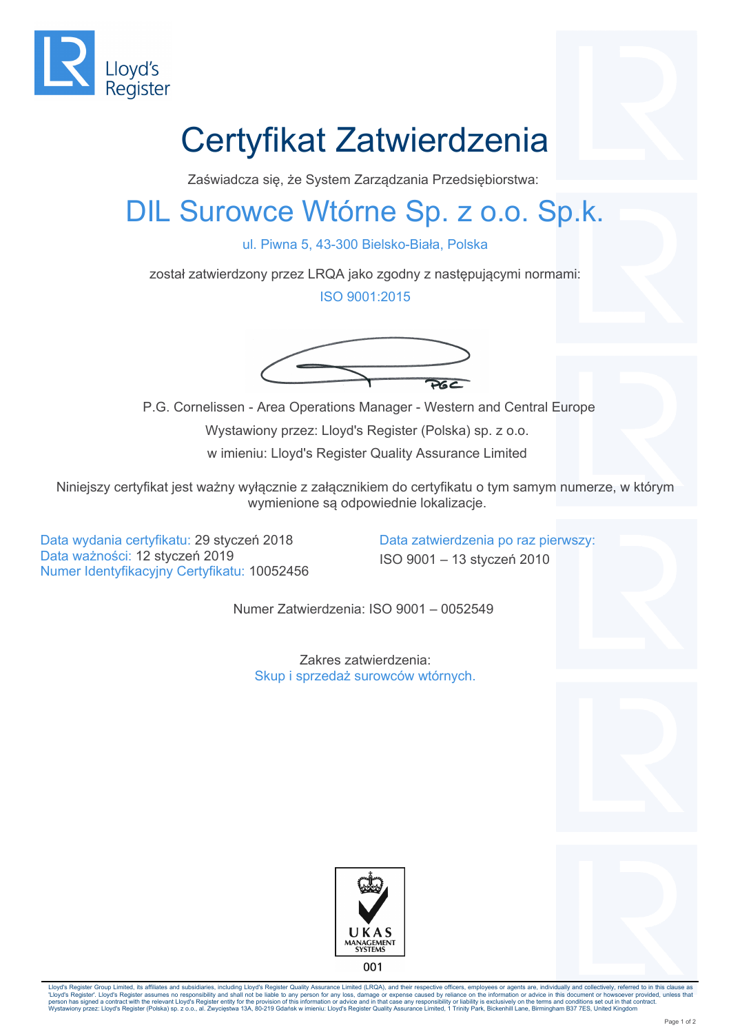

## Certyfikat Zatwierdzenia

Zaświadcza się, że System Zarządzania Przedsiębiorstwa:

## DIL Surowce Wtórne Sp. z o.o. Sp.k.

ul. Piwna 5, 43-300 Bielsko-Biała, Polska

został zatwierdzony przez LRQA jako zgodny z następującymi normami:

ISO 9001:2015



 P.G. Cornelissen - Area Operations Manager - Western and Central Europe Wystawiony przez: Lloyd's Register (Polska) sp. z o.o. w imieniu: Lloyd's Register Quality Assurance Limited

Niniejszy certyfikat jest ważny wyłącznie z załącznikiem do certyfikatu o tym samym numerze, w którym wymienione są odpowiednie lokalizacje.

Data wydania certyfikatu: 29 styczeń 2018 Data zatwierdzenia po raz pierwszy: Data ważności: 12 styczeń 2019 ISO 9001 – 13 styczeń 2010 Numer Identyfikacyjny Certyfikatu: 10052456

Numer Zatwierdzenia: ISO 9001 – 0052549

Zakres zatwierdzenia: Skup i sprzedaż surowców wtórnych.





Lloyd's Register Group Limited, its affiliates and subsidiaries, including Lloyd's Register Quality Assurance Limited (LRQA), and their respective officers, employees or agents are, individually and collectively, referred